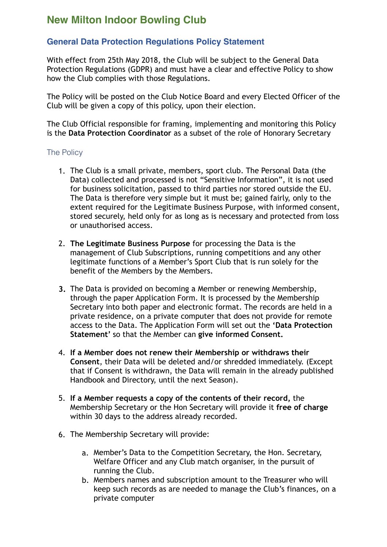## **New Milton Indoor Bowling Club**

## **General Data Protection Regulations Policy Statement**

With effect from 25th May 2018, the Club will be subject to the General Data Protection Regulations (GDPR) and must have a clear and effective Policy to show how the Club complies with those Regulations.

The Policy will be posted on the Club Notice Board and every Elected Officer of the Club will be given a copy of this policy, upon their election.

The Club Official responsible for framing, implementing and monitoring this Policy is the **Data Protection Coordinator** as a subset of the role of Honorary Secretary

## The Policy

- 1. The Club is a small private, members, sport club. The Personal Data (the Data) collected and processed is not "Sensitive Information", it is not used for business solicitation, passed to third parties nor stored outside the EU. The Data is therefore very simple but it must be; gained fairly, only to the extent required for the Legitimate Business Purpose, with informed consent, stored securely, held only for as long as is necessary and protected from loss or unauthorised access.
- 2. **The Legitimate Business Purpose** for processing the Data is the management of Club Subscriptions, running competitions and any other legitimate functions of a Member's Sport Club that is run solely for the benefit of the Members by the Members.
- **3.** The Data is provided on becoming a Member or renewing Membership, through the paper Application Form. It is processed by the Membership Secretary into both paper and electronic format. The records are held in a private residence, on a private computer that does not provide for remote access to the Data. The Application Form will set out the **'Data Protection Statement'** so that the Member can **give informed Consent.**
- 4. **If a Member does not renew their Membership or withdraws their Consent**, their Data will be deleted and/or shredded immediately. (Except that if Consent is withdrawn, the Data will remain in the already published Handbook and Directory, until the next Season).
- 5. **If a Member requests a copy of the contents of their record,** the Membership Secretary or the Hon Secretary will provide it **free of charge** within 30 days to the address already recorded.
- 6. The Membership Secretary will provide:
	- a. Member's Data to the Competition Secretary, the Hon. Secretary, Welfare Officer and any Club match organiser, in the pursuit of running the Club.
	- b. Members names and subscription amount to the Treasurer who will keep such records as are needed to manage the Club's finances, on a private computer